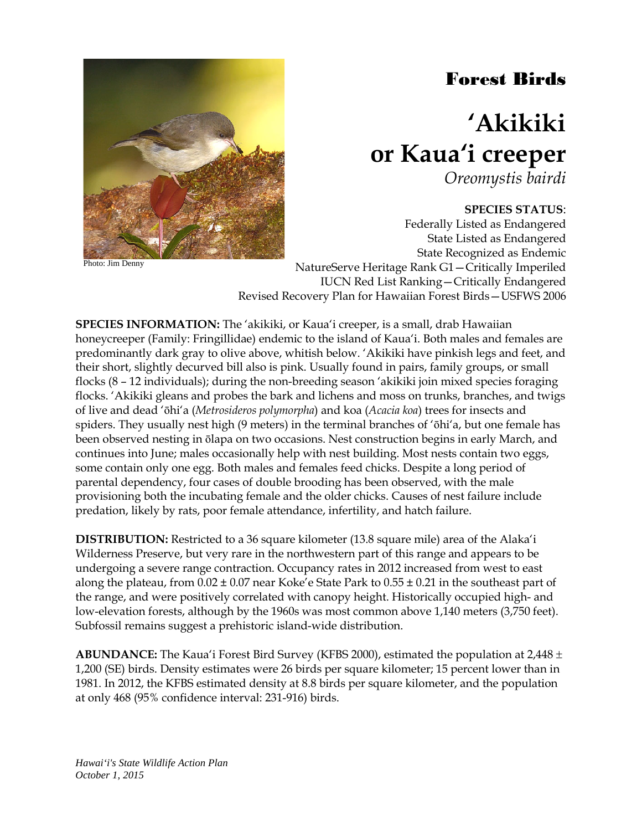# Forest Birds



Photo: Jim Denny

# **'Akikiki or Kaua'i creeper**

*Oreomystis bairdi*

## **SPECIES STATUS**:

Federally Listed as Endangered State Listed as Endangered State Recognized as Endemic NatureServe Heritage Rank G1—Critically Imperiled IUCN Red List Ranking—Critically Endangered Revised Recovery Plan for Hawaiian Forest Birds—USFWS 2006

**SPECIES INFORMATION:** The 'akikiki, or Kaua'i creeper, is a small, drab Hawaiian honeycreeper (Family: Fringillidae) endemic to the island of Kaua'i. Both males and females are predominantly dark gray to olive above, whitish below. 'Akikiki have pinkish legs and feet, and their short, slightly decurved bill also is pink. Usually found in pairs, family groups, or small flocks (8 – 12 individuals); during the non-breeding season 'akikiki join mixed species foraging flocks. 'Akikiki gleans and probes the bark and lichens and moss on trunks, branches, and twigs of live and dead 'ōhi'a (*Metrosideros polymorpha*) and koa (*Acacia koa*) trees for insects and spiders. They usually nest high (9 meters) in the terminal branches of 'ōhi'a, but one female has been observed nesting in ōlapa on two occasions. Nest construction begins in early March, and continues into June; males occasionally help with nest building. Most nests contain two eggs, some contain only one egg. Both males and females feed chicks. Despite a long period of parental dependency, four cases of double brooding has been observed, with the male provisioning both the incubating female and the older chicks. Causes of nest failure include predation, likely by rats, poor female attendance, infertility, and hatch failure.

**DISTRIBUTION:** Restricted to a 36 square kilometer (13.8 square mile) area of the Alaka'i Wilderness Preserve, but very rare in the northwestern part of this range and appears to be undergoing a severe range contraction. Occupancy rates in 2012 increased from west to east along the plateau, from  $0.02 \pm 0.07$  near Koke'e State Park to  $0.55 \pm 0.21$  in the southeast part of the range, and were positively correlated with canopy height. Historically occupied high- and low-elevation forests, although by the 1960s was most common above 1,140 meters (3,750 feet). Subfossil remains suggest a prehistoric island-wide distribution.

**ABUNDANCE:** The Kaua'i Forest Bird Survey (KFBS 2000), estimated the population at 2,448 ± 1,200 (SE) birds. Density estimates were 26 birds per square kilometer; 15 percent lower than in 1981. In 2012, the KFBS estimated density at 8.8 birds per square kilometer, and the population at only 468 (95% confidence interval: 231-916) birds.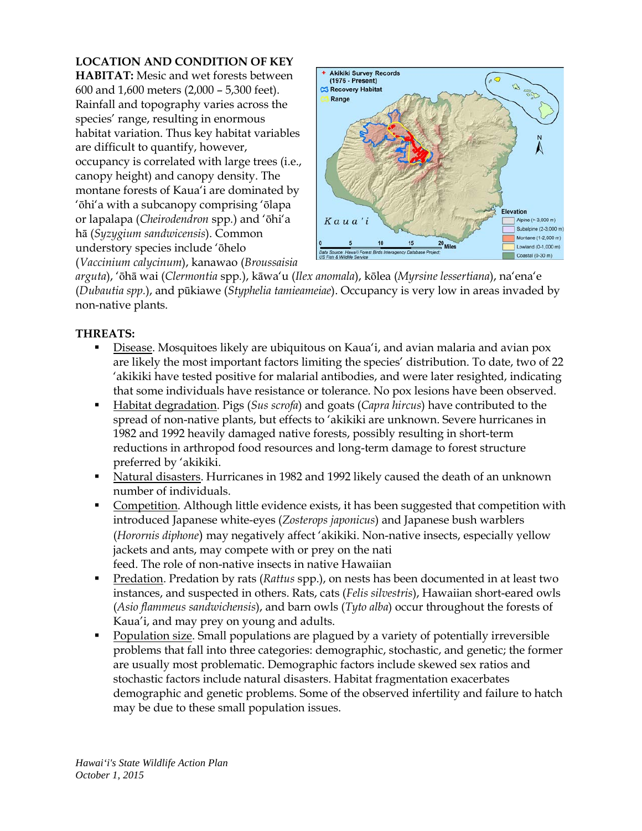# **LOCATION AND CONDITION OF KEY**

**HABITAT:** Mesic and wet forests between 600 and 1,600 meters (2,000 – 5,300 feet). Rainfall and topography varies across the species' range, resulting in enormous habitat variation. Thus key habitat variables are difficult to quantify, however, occupancy is correlated with large trees (i.e., canopy height) and canopy density. The montane forests of Kaua'i are dominated by 'ōhi'a with a subcanopy comprising 'ōlapa or lapalapa (*Cheirodendron* spp*.*) and 'ōhi'a hā (*Syzygium sandwicensis*). Common understory species include 'ōhelo (*Vaccinium calycinum*), kanawao (*Broussaisia* 



*arguta*), 'ōhā wai (*Clermontia* spp*.*), kāwa'u (*Ilex anomala*), kōlea (*Myrsine lessertiana*), na'ena'e (*Dubautia spp.*), and pūkiawe (*Styphelia tamieameiae*). Occupancy is very low in areas invaded by non-native plants.

## **THREATS:**

- Disease. Mosquitoes likely are ubiquitous on Kaua'i, and avian malaria and avian pox are likely the most important factors limiting the species' distribution. To date, two of 22 'akikiki have tested positive for malarial antibodies, and were later resighted, indicating that some individuals have resistance or tolerance. No pox lesions have been observed.
- Habitat degradation. Pigs (*Sus scrofa*) and goats (*Capra hircus*) have contributed to the spread of non-native plants, but effects to 'akikiki are unknown. Severe hurricanes in 1982 and 1992 heavily damaged native forests, possibly resulting in short-term reductions in arthropod food resources and long-term damage to forest structure preferred by 'akikiki.
- **Natural disasters.** Hurricanes in 1982 and 1992 likely caused the death of an unknown number of individuals.
- Competition. Although little evidence exists, it has been suggested that competition with introduced Japanese white-eyes (*Zosterops japonicus*) and Japanese bush warblers (*Horornis diphone*) may negatively affect 'akikiki. Non-native insects, especially yellow jackets and ants, may compete with or prey on the nati feed. The role of non-native insects in native Hawaiian
- Predation. Predation by rats (*Rattus* spp.), on nests has been documented in at least two instances, and suspected in others. Rats, cats (*Felis silvestris*), Hawaiian short-eared owls (*Asio flammeus sandwichensis*), and barn owls (*Tyto alba*) occur throughout the forests of Kaua'i, and may prey on young and adults.
- Population size. Small populations are plagued by a variety of potentially irreversible problems that fall into three categories: demographic, stochastic, and genetic; the former are usually most problematic. Demographic factors include skewed sex ratios and stochastic factors include natural disasters. Habitat fragmentation exacerbates demographic and genetic problems. Some of the observed infertility and failure to hatch may be due to these small population issues.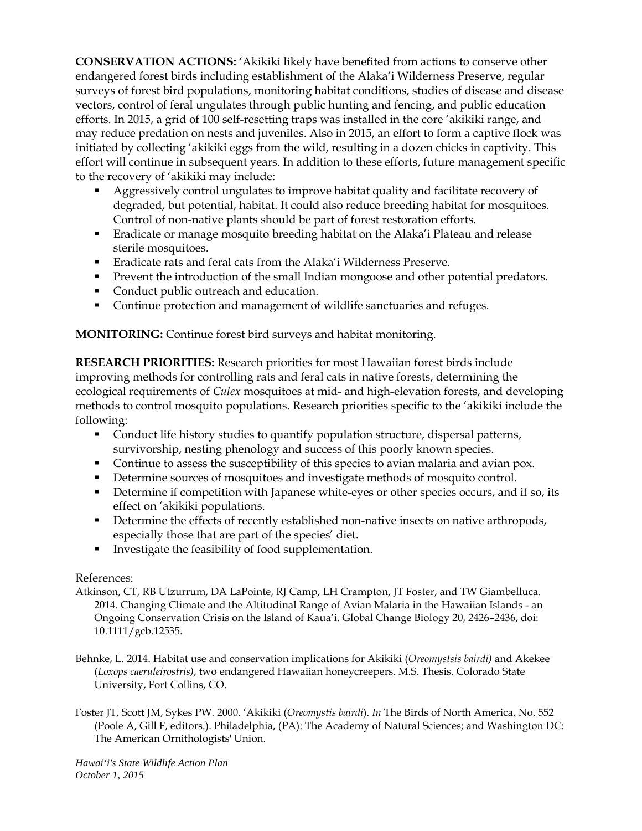**CONSERVATION ACTIONS:** 'Akikiki likely have benefited from actions to conserve other endangered forest birds including establishment of the Alaka'i Wilderness Preserve, regular surveys of forest bird populations, monitoring habitat conditions, studies of disease and disease vectors, control of feral ungulates through public hunting and fencing, and public education efforts. In 2015, a grid of 100 self-resetting traps was installed in the core 'akikiki range, and may reduce predation on nests and juveniles. Also in 2015, an effort to form a captive flock was initiated by collecting 'akikiki eggs from the wild, resulting in a dozen chicks in captivity. This effort will continue in subsequent years. In addition to these efforts, future management specific to the recovery of 'akikiki may include:

- Aggressively control ungulates to improve habitat quality and facilitate recovery of degraded, but potential, habitat. It could also reduce breeding habitat for mosquitoes. Control of non-native plants should be part of forest restoration efforts.
- Eradicate or manage mosquito breeding habitat on the Alaka'i Plateau and release sterile mosquitoes.
- Eradicate rats and feral cats from the Alaka'i Wilderness Preserve.
- **Prevent the introduction of the small Indian mongoose and other potential predators.**
- Conduct public outreach and education.
- Continue protection and management of wildlife sanctuaries and refuges.

**MONITORING:** Continue forest bird surveys and habitat monitoring.

**RESEARCH PRIORITIES:** Research priorities for most Hawaiian forest birds include improving methods for controlling rats and feral cats in native forests, determining the ecological requirements of *Culex* mosquitoes at mid- and high-elevation forests, and developing methods to control mosquito populations. Research priorities specific to the 'akikiki include the following:

- Conduct life history studies to quantify population structure, dispersal patterns, survivorship, nesting phenology and success of this poorly known species.
- Continue to assess the susceptibility of this species to avian malaria and avian pox.
- Determine sources of mosquitoes and investigate methods of mosquito control.
- Determine if competition with Japanese white-eyes or other species occurs, and if so, its effect on 'akikiki populations.
- Determine the effects of recently established non-native insects on native arthropods, especially those that are part of the species' diet.
- **Investigate the feasibility of food supplementation.**

#### References:

- Atkinson, CT, RB Utzurrum, DA LaPointe, RJ Camp, LH Crampton, JT Foster, and TW Giambelluca. 2014. Changing Climate and the Altitudinal Range of Avian Malaria in the Hawaiian Islands - an Ongoing Conservation Crisis on the Island of Kaua'i. Global Change Biology 20, 2426–2436, doi: 10.1111/gcb.12535.
- Behnke, L. 2014. Habitat use and conservation implications for Akikiki (*Oreomystsis bairdi)* and Akekee (*Loxops caeruleirostris)*, two endangered Hawaiian honeycreepers. M.S. Thesis. Colorado State University, Fort Collins, CO.
- Foster JT, Scott JM, Sykes PW. 2000. 'Akikiki (*Oreomystis bairdi*). *In* The Birds of North America, No. 552 (Poole A, Gill F, editors.). Philadelphia, (PA): The Academy of Natural Sciences; and Washington DC: The American Ornithologists' Union.

*Hawai'i's State Wildlife Action Plan October 1, 2015*